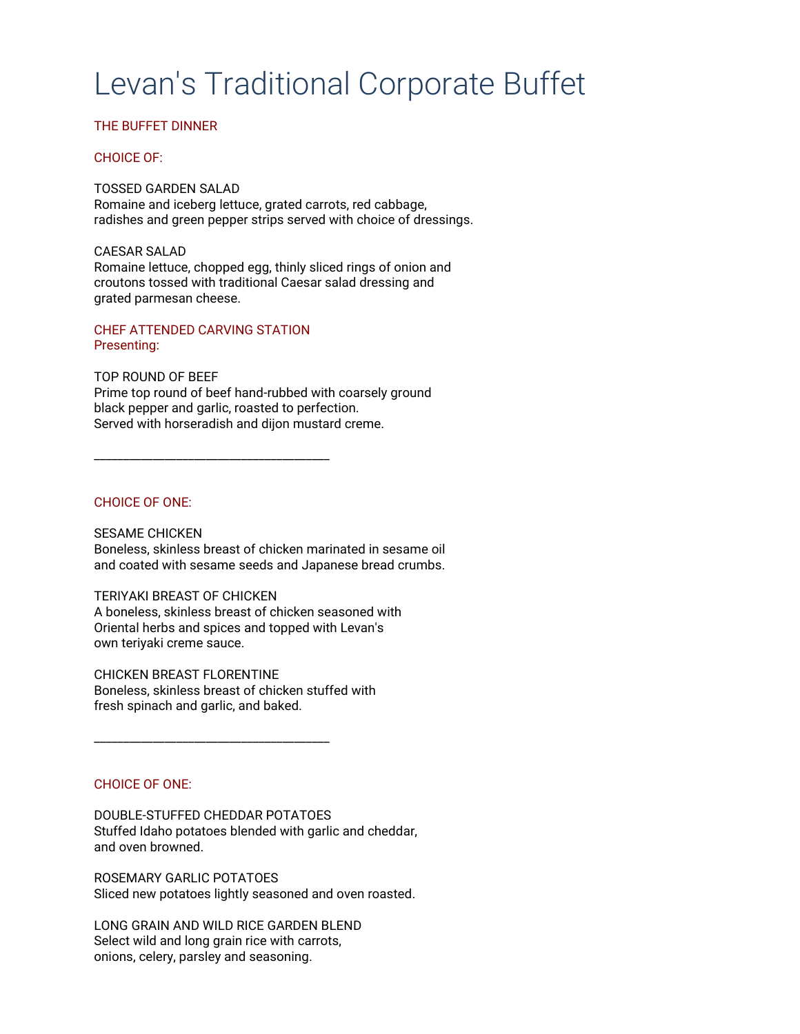# Levan's Traditional Corporate Buffet

## THE BUFFET DINNER

## CHOICE OF:

TOSSED GARDEN SALAD Romaine and iceberg lettuce, grated carrots, red cabbage, radishes and green pepper strips served with choice of dressings.

CAESAR SALAD Romaine lettuce, chopped egg, thinly sliced rings of onion and croutons tossed with traditional Caesar salad dressing and grated parmesan cheese.

## CHEF ATTENDED CARVING STATION Presenting:

\_\_\_\_\_\_\_\_\_\_\_\_\_\_\_\_\_\_\_\_\_\_\_\_\_\_\_\_\_\_\_\_\_\_\_\_\_\_\_\_

## TOP ROUND OF BEEF Prime top round of beef hand-rubbed with coarsely ground black pepper and garlic, roasted to perfection. Served with horseradish and dijon mustard creme.

CHOICE OF ONE:

#### SESAME CHICKEN

Boneless, skinless breast of chicken marinated in sesame oil and coated with sesame seeds and Japanese bread crumbs.

#### TERIYAKI BREAST OF CHICKEN

A boneless, skinless breast of chicken seasoned with Oriental herbs and spices and topped with Levan's own teriyaki creme sauce.

CHICKEN BREAST FLORENTINE Boneless, skinless breast of chicken stuffed with fresh spinach and garlic, and baked.

\_\_\_\_\_\_\_\_\_\_\_\_\_\_\_\_\_\_\_\_\_\_\_\_\_\_\_\_\_\_\_\_\_\_\_\_\_\_\_\_

CHOICE OF ONE:

DOUBLE-STUFFED CHEDDAR POTATOES Stuffed Idaho potatoes blended with garlic and cheddar, and oven browned.

ROSEMARY GARLIC POTATOES Sliced new potatoes lightly seasoned and oven roasted.

LONG GRAIN AND WILD RICE GARDEN BLEND Select wild and long grain rice with carrots, onions, celery, parsley and seasoning.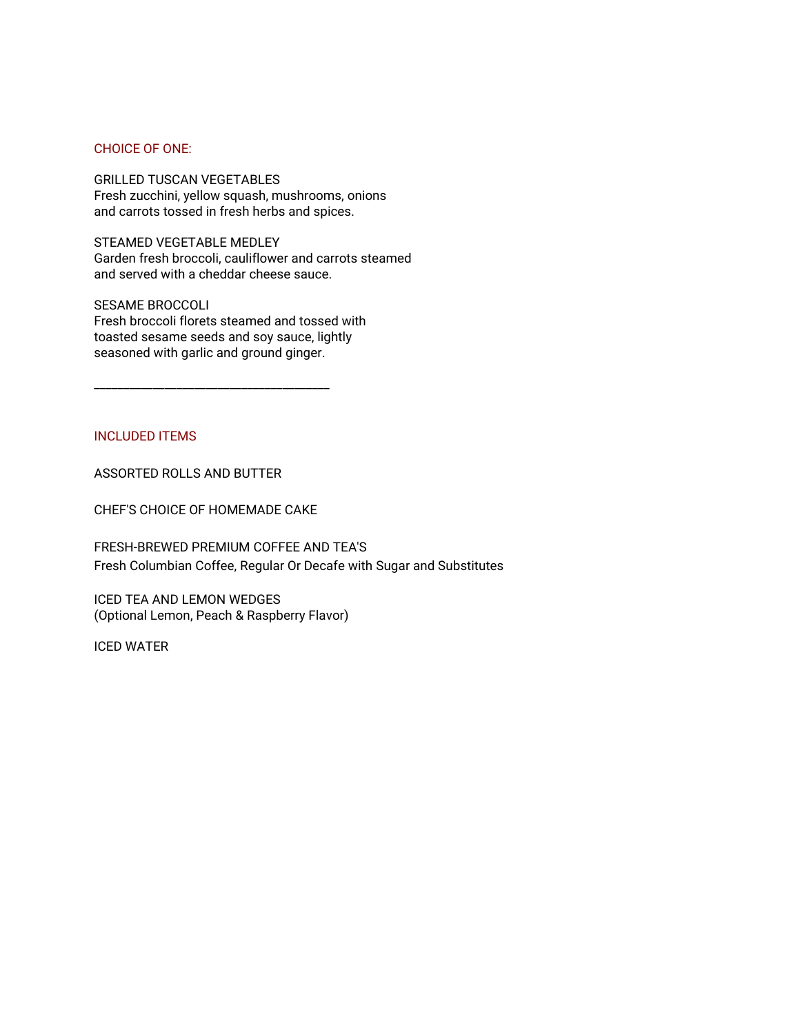#### CHOICE OF ONE:

GRILLED TUSCAN VEGETABLES Fresh zucchini, yellow squash, mushrooms, onions and carrots tossed in fresh herbs and spices.

STEAMED VEGETABLE MEDLEY Garden fresh broccoli, cauliflower and carrots steamed and served with a cheddar cheese sauce.

SESAME BROCCOLI Fresh broccoli florets steamed and tossed with toasted sesame seeds and soy sauce, lightly seasoned with garlic and ground ginger.

\_\_\_\_\_\_\_\_\_\_\_\_\_\_\_\_\_\_\_\_\_\_\_\_\_\_\_\_\_\_\_\_\_\_\_\_\_\_\_\_

# INCLUDED ITEMS

ASSORTED ROLLS AND BUTTER

CHEF'S CHOICE OF HOMEMADE CAKE

FRESH-BREWED PREMIUM COFFEE AND TEA'S Fresh Columbian Coffee, Regular Or Decafe with Sugar and Substitutes

ICED TEA AND LEMON WEDGES (Optional Lemon, Peach & Raspberry Flavor)

ICED WATER